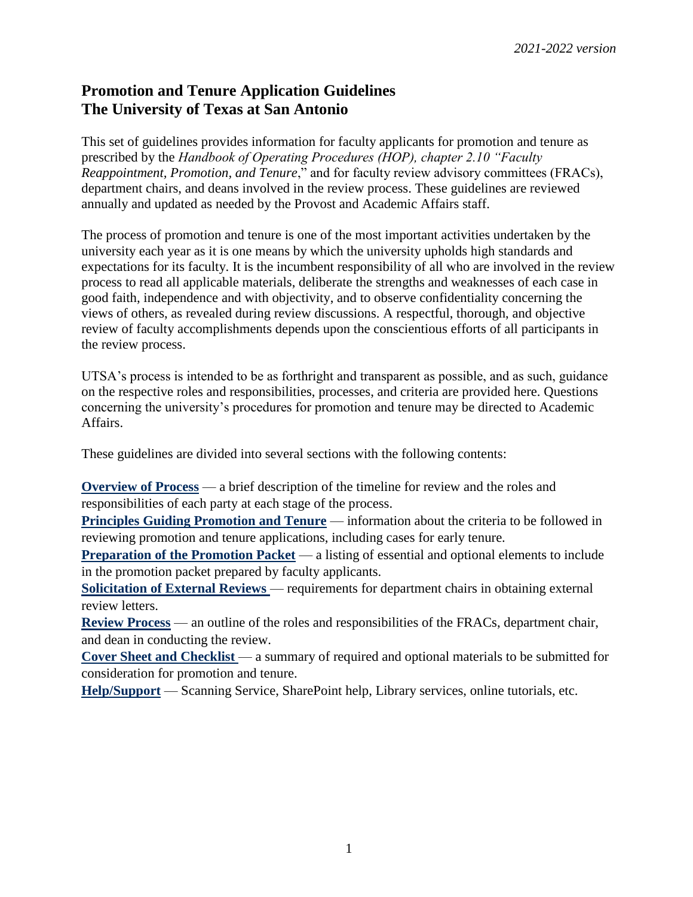## **Promotion and Tenure Application Guidelines The University of Texas at San Antonio**

This set of guidelines provides information for faculty applicants for promotion and tenure as prescribed by the *Handbook of Operating Procedures (HOP), chapter 2.10 "Faculty Reappointment, Promotion, and Tenure*," and for faculty review advisory committees (FRACs), department chairs, and deans involved in the review process. These guidelines are reviewed annually and updated as needed by the Provost and Academic Affairs staff.

The process of promotion and tenure is one of the most important activities undertaken by the university each year as it is one means by which the university upholds high standards and expectations for its faculty. It is the incumbent responsibility of all who are involved in the review process to read all applicable materials, deliberate the strengths and weaknesses of each case in good faith, independence and with objectivity, and to observe confidentiality concerning the views of others, as revealed during review discussions. A respectful, thorough, and objective review of faculty accomplishments depends upon the conscientious efforts of all participants in the review process.

UTSA's process is intended to be as forthright and transparent as possible, and as such, guidance on the respective roles and responsibilities, processes, and criteria are provided here. Questions concerning the university's procedures for promotion and tenure may be directed to Academic Affairs.

These guidelines are divided into several sections with the following contents:

**[Overview of Process](http://provost.utsa.edu/home/evaluation/PromotionTenure/overview.asp)** — a brief description of the timeline for review and the roles and responsibilities of each party at each stage of the process.

**[Principles Guiding Promotion and Tenure](http://provost.utsa.edu/home/evaluation/PromotionTenure/criteria.asp)** — information about the criteria to be followed in reviewing promotion and tenure applications, including cases for early tenure.

**[Preparation of the Promotion Packet](http://provost.utsa.edu/home/evaluation/PromotionTenure/packet.asp)** — a listing of essential and optional elements to include in the promotion packet prepared by faculty applicants.

**[Solicitation of External Reviews](http://provost.utsa.edu/home/evaluation/PromotionTenure/external.asp)** — requirements for department chairs in obtaining external review letters.

**[Review Process](http://provost.utsa.edu/home/evaluation/PromotionTenure/process.asp)** — an outline of the roles and responsibilities of the FRACs, department chair, and dean in conducting the review.

**[Cover Sheet and Checklist](http://provost.utsa.edu/home/evaluation/PromotionTenure/docs/PT-Coversheet-and-Checklist.pdf)** — a summary of required and optional materials to be submitted for consideration for promotion and tenure.

**[Help/Support](http://provost.utsa.edu/home/Evaluation/Help_Support/index.asp)** — Scanning Service, SharePoint help, Library services, online tutorials, etc.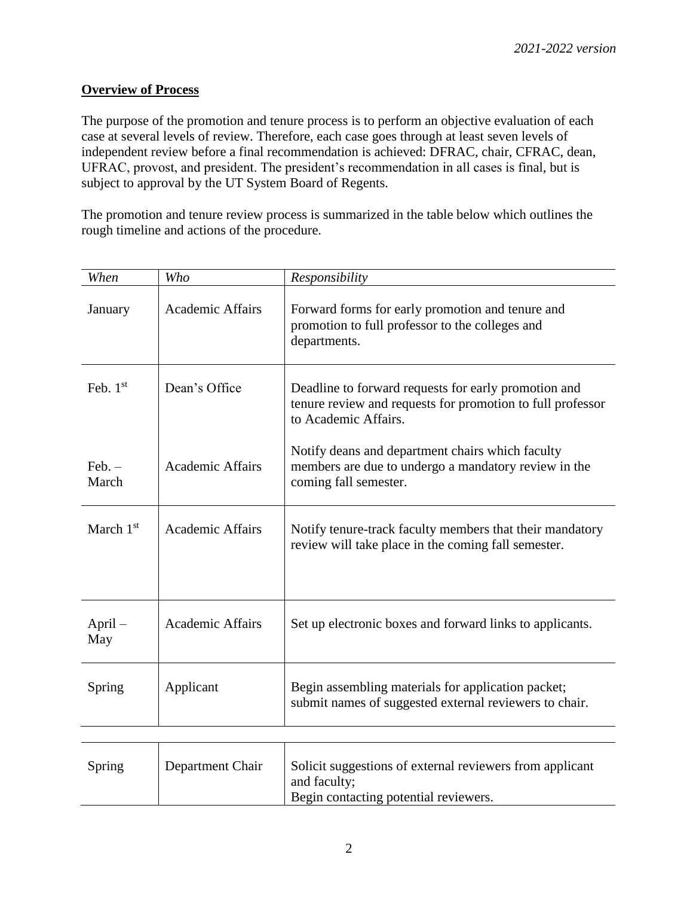## **Overview of Process**

The purpose of the promotion and tenure process is to perform an objective evaluation of each case at several levels of review. Therefore, each case goes through at least seven levels of independent review before a final recommendation is achieved: DFRAC, chair, CFRAC, dean, UFRAC, provost, and president. The president's recommendation in all cases is final, but is subject to approval by the UT System Board of Regents.

The promotion and tenure review process is summarized in the table below which outlines the rough timeline and actions of the procedure.

| When             | Who                     | Responsibility                                                                                                                             |
|------------------|-------------------------|--------------------------------------------------------------------------------------------------------------------------------------------|
| January          | <b>Academic Affairs</b> | Forward forms for early promotion and tenure and<br>promotion to full professor to the colleges and<br>departments.                        |
| Feb. $1st$       | Dean's Office           | Deadline to forward requests for early promotion and<br>tenure review and requests for promotion to full professor<br>to Academic Affairs. |
| Feb. –<br>March  | <b>Academic Affairs</b> | Notify deans and department chairs which faculty<br>members are due to undergo a mandatory review in the<br>coming fall semester.          |
| March $1st$      | <b>Academic Affairs</b> | Notify tenure-track faculty members that their mandatory<br>review will take place in the coming fall semester.                            |
| $April -$<br>May | <b>Academic Affairs</b> | Set up electronic boxes and forward links to applicants.                                                                                   |
| Spring           | Applicant               | Begin assembling materials for application packet;<br>submit names of suggested external reviewers to chair.                               |
|                  |                         |                                                                                                                                            |
| Spring           | Department Chair        | Solicit suggestions of external reviewers from applicant<br>and faculty;<br>Begin contacting potential reviewers.                          |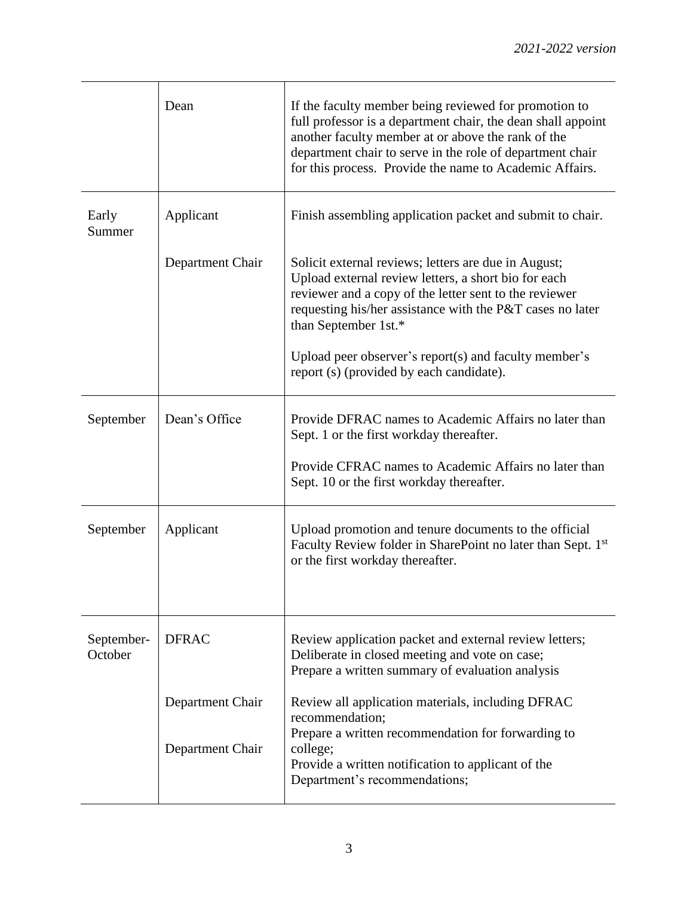|                       | Dean             | If the faculty member being reviewed for promotion to<br>full professor is a department chair, the dean shall appoint<br>another faculty member at or above the rank of the<br>department chair to serve in the role of department chair<br>for this process. Provide the name to Academic Affairs. |
|-----------------------|------------------|-----------------------------------------------------------------------------------------------------------------------------------------------------------------------------------------------------------------------------------------------------------------------------------------------------|
| Early<br>Summer       | Applicant        | Finish assembling application packet and submit to chair.                                                                                                                                                                                                                                           |
|                       | Department Chair | Solicit external reviews; letters are due in August;<br>Upload external review letters, a short bio for each<br>reviewer and a copy of the letter sent to the reviewer<br>requesting his/her assistance with the P&T cases no later<br>than September 1st.*                                         |
|                       |                  | Upload peer observer's report $(s)$ and faculty member's<br>report (s) (provided by each candidate).                                                                                                                                                                                                |
| September             | Dean's Office    | Provide DFRAC names to Academic Affairs no later than<br>Sept. 1 or the first workday thereafter.                                                                                                                                                                                                   |
|                       |                  | Provide CFRAC names to Academic Affairs no later than<br>Sept. 10 or the first workday thereafter.                                                                                                                                                                                                  |
| September             | Applicant        | Upload promotion and tenure documents to the official<br>Faculty Review folder in SharePoint no later than Sept. 1st<br>or the first workday thereafter.                                                                                                                                            |
| September-<br>October | <b>DFRAC</b>     | Review application packet and external review letters;<br>Deliberate in closed meeting and vote on case;<br>Prepare a written summary of evaluation analysis                                                                                                                                        |
|                       | Department Chair | Review all application materials, including DFRAC<br>recommendation;<br>Prepare a written recommendation for forwarding to                                                                                                                                                                          |
|                       | Department Chair | college;<br>Provide a written notification to applicant of the<br>Department's recommendations;                                                                                                                                                                                                     |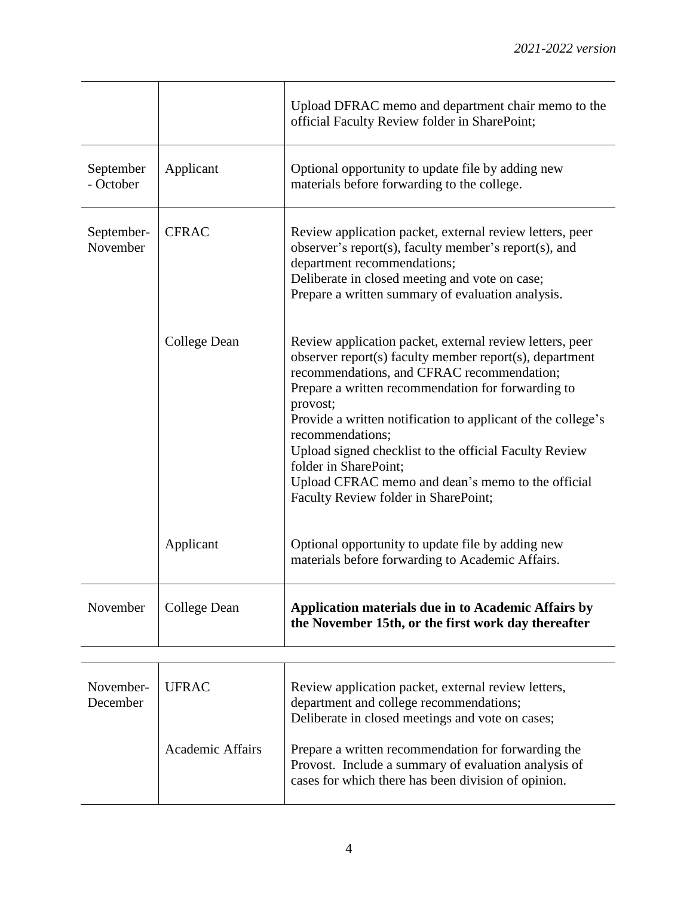|                        |                         | Upload DFRAC memo and department chair memo to the<br>official Faculty Review folder in SharePoint;                                                                                                                                                                                                                                                                                                                                                                                                     |
|------------------------|-------------------------|---------------------------------------------------------------------------------------------------------------------------------------------------------------------------------------------------------------------------------------------------------------------------------------------------------------------------------------------------------------------------------------------------------------------------------------------------------------------------------------------------------|
| September<br>- October | Applicant               | Optional opportunity to update file by adding new<br>materials before forwarding to the college.                                                                                                                                                                                                                                                                                                                                                                                                        |
| September-<br>November | <b>CFRAC</b>            | Review application packet, external review letters, peer<br>observer's report(s), faculty member's report(s), and<br>department recommendations;<br>Deliberate in closed meeting and vote on case;<br>Prepare a written summary of evaluation analysis.                                                                                                                                                                                                                                                 |
|                        | College Dean            | Review application packet, external review letters, peer<br>observer report(s) faculty member report(s), department<br>recommendations, and CFRAC recommendation;<br>Prepare a written recommendation for forwarding to<br>provost;<br>Provide a written notification to applicant of the college's<br>recommendations;<br>Upload signed checklist to the official Faculty Review<br>folder in SharePoint;<br>Upload CFRAC memo and dean's memo to the official<br>Faculty Review folder in SharePoint; |
|                        | Applicant               | Optional opportunity to update file by adding new<br>materials before forwarding to Academic Affairs.                                                                                                                                                                                                                                                                                                                                                                                                   |
| November               | College Dean            | Application materials due in to Academic Affairs by<br>the November 15th, or the first work day thereafter                                                                                                                                                                                                                                                                                                                                                                                              |
| November-<br>December  | <b>UFRAC</b>            | Review application packet, external review letters,<br>department and college recommendations;<br>Deliberate in closed meetings and vote on cases;                                                                                                                                                                                                                                                                                                                                                      |
|                        | <b>Academic Affairs</b> | Prepare a written recommendation for forwarding the<br>Provost. Include a summary of evaluation analysis of<br>cases for which there has been division of opinion.                                                                                                                                                                                                                                                                                                                                      |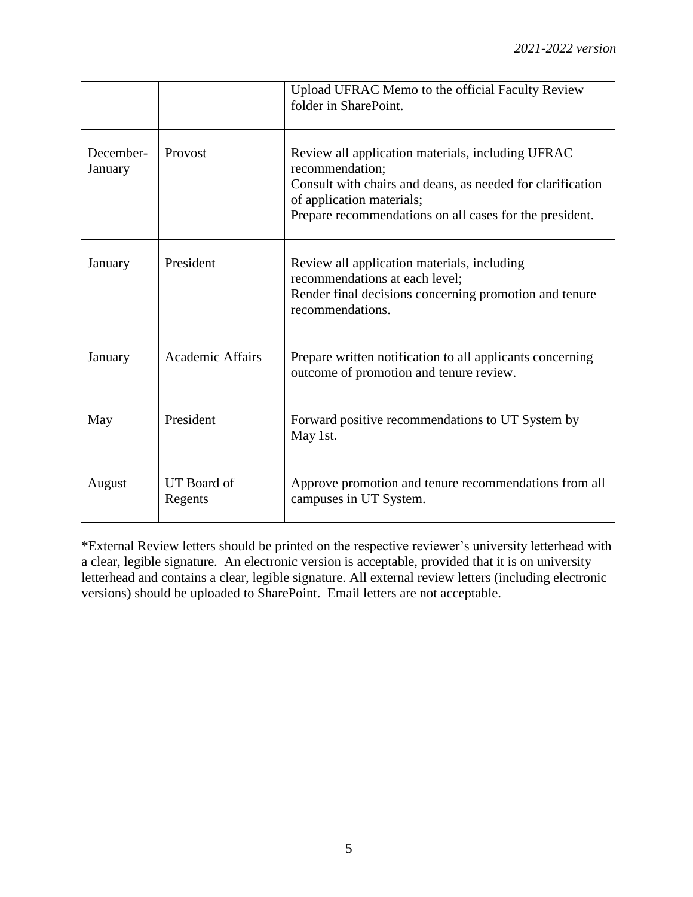|                      |                         | Upload UFRAC Memo to the official Faculty Review<br>folder in SharePoint.                                                                                                                                                  |
|----------------------|-------------------------|----------------------------------------------------------------------------------------------------------------------------------------------------------------------------------------------------------------------------|
| December-<br>January | Provost                 | Review all application materials, including UFRAC<br>recommendation;<br>Consult with chairs and deans, as needed for clarification<br>of application materials;<br>Prepare recommendations on all cases for the president. |
| January              | President               | Review all application materials, including<br>recommendations at each level;<br>Render final decisions concerning promotion and tenure<br>recommendations.                                                                |
| January              | <b>Academic Affairs</b> | Prepare written notification to all applicants concerning<br>outcome of promotion and tenure review.                                                                                                                       |
| May                  | President               | Forward positive recommendations to UT System by<br>May 1st.                                                                                                                                                               |
| August               | UT Board of<br>Regents  | Approve promotion and tenure recommendations from all<br>campuses in UT System.                                                                                                                                            |

\*External Review letters should be printed on the respective reviewer's university letterhead with a clear, legible signature. An electronic version is acceptable, provided that it is on university letterhead and contains a clear, legible signature. All external review letters (including electronic versions) should be uploaded to SharePoint. Email letters are not acceptable.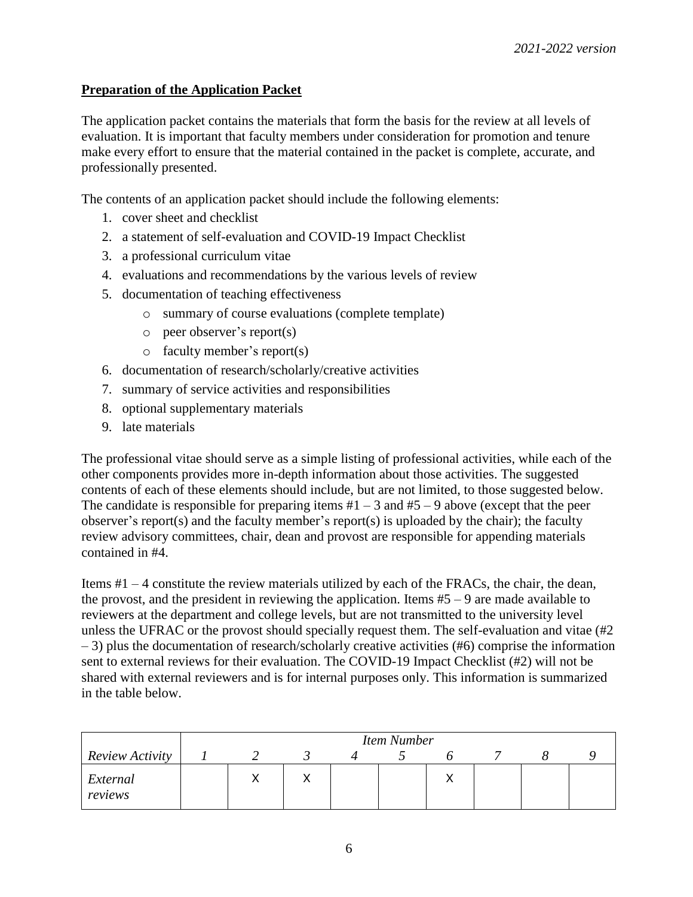## **Preparation of the Application Packet**

The application packet contains the materials that form the basis for the review at all levels of evaluation. It is important that faculty members under consideration for promotion and tenure make every effort to ensure that the material contained in the packet is complete, accurate, and professionally presented.

The contents of an application packet should include the following elements:

- 1. cover sheet and checklist
- 2. a statement of self-evaluation and COVID-19 Impact Checklist
- 3. a professional curriculum vitae
- 4. evaluations and recommendations by the various levels of review
- 5. documentation of teaching effectiveness
	- o summary of course evaluations (complete template)
	- o peer observer's report(s)
	- o faculty member's report(s)
- 6. documentation of research/scholarly/creative activities
- 7. summary of service activities and responsibilities
- 8. optional supplementary materials
- 9. late materials

The professional vitae should serve as a simple listing of professional activities, while each of the other components provides more in-depth information about those activities. The suggested contents of each of these elements should include, but are not limited, to those suggested below. The candidate is responsible for preparing items  $#1 - 3$  and  $#5 - 9$  above (except that the peer observer's report(s) and the faculty member's report(s) is uploaded by the chair); the faculty review advisory committees, chair, dean and provost are responsible for appending materials contained in #4.

Items  $#1 - 4$  constitute the review materials utilized by each of the FRACs, the chair, the dean, the provost, and the president in reviewing the application. Items  $#5 - 9$  are made available to reviewers at the department and college levels, but are not transmitted to the university level unless the UFRAC or the provost should specially request them. The self-evaluation and vitae (#2 – 3) plus the documentation of research/scholarly creative activities (#6) comprise the information sent to external reviews for their evaluation. The COVID-19 Impact Checklist (#2) will not be shared with external reviewers and is for internal purposes only. This information is summarized in the table below.

|                     |  |  | <b>Item Number</b> |  |  |
|---------------------|--|--|--------------------|--|--|
| Review Activity     |  |  |                    |  |  |
| External<br>reviews |  |  |                    |  |  |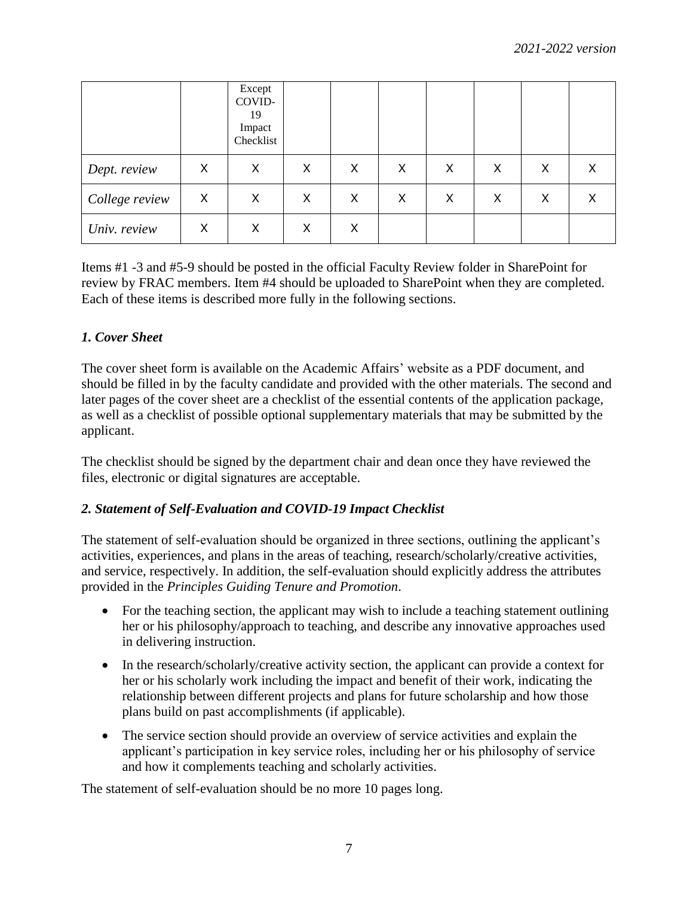|                |   | Except<br>COVID-<br>19<br>Impact<br>Checklist |   |   |   |   |   |   |   |
|----------------|---|-----------------------------------------------|---|---|---|---|---|---|---|
| Dept. review   | X | Χ                                             | X | X | X | X | X | Х | Х |
| College review | X | Χ                                             | Χ | X | Χ | Х | X | Χ | Х |
| Univ. review   | X | Χ                                             | X | X |   |   |   |   |   |

Items #1 -3 and #5-9 should be posted in the official Faculty Review folder in SharePoint for review by FRAC members. Item #4 should be uploaded to SharePoint when they are completed. Each of these items is described more fully in the following sections.

## *1. Cover Sheet*

The cover sheet form is available on the Academic Affairs' website as a PDF document, and should be filled in by the faculty candidate and provided with the other materials. The second and later pages of the cover sheet are a checklist of the essential contents of the application package, as well as a checklist of possible optional supplementary materials that may be submitted by the applicant.

The checklist should be signed by the department chair and dean once they have reviewed the files, electronic or digital signatures are acceptable.

## *2. Statement of Self-Evaluation and COVID-19 Impact Checklist*

The statement of self-evaluation should be organized in three sections, outlining the applicant's activities, experiences, and plans in the areas of teaching, research/scholarly/creative activities, and service, respectively. In addition, the self-evaluation should explicitly address the attributes provided in the *Principles Guiding Tenure and Promotion*.

- For the teaching section, the applicant may wish to include a teaching statement outlining her or his philosophy/approach to teaching, and describe any innovative approaches used in delivering instruction.
- In the research/scholarly/creative activity section, the applicant can provide a context for her or his scholarly work including the impact and benefit of their work, indicating the relationship between different projects and plans for future scholarship and how those plans build on past accomplishments (if applicable).
- The service section should provide an overview of service activities and explain the applicant's participation in key service roles, including her or his philosophy of service and how it complements teaching and scholarly activities.

The statement of self-evaluation should be no more 10 pages long.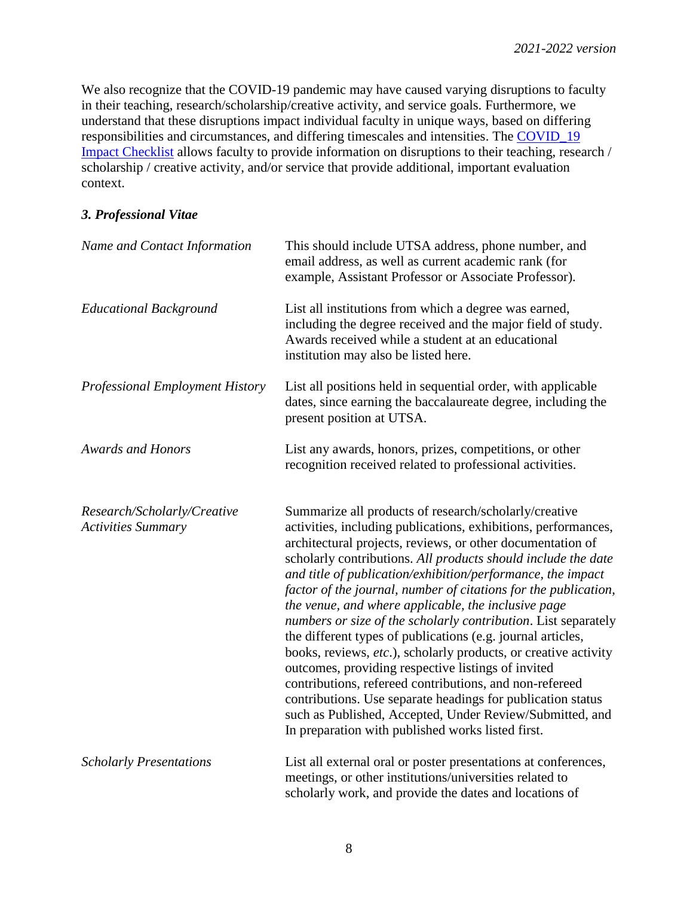We also recognize that the COVID-19 pandemic may have caused varying disruptions to faculty in their teaching, research/scholarship/creative activity, and service goals. Furthermore, we understand that these disruptions impact individual faculty in unique ways, based on differing responsibilities and circumstances, and differing timescales and intensities. The [COVID\\_19](https://provost.utsa.edu/faculty-review/promotion-tenure/docs/COVID-impact-checklist-2122.pdf)  [Impact Checklist](https://provost.utsa.edu/faculty-review/promotion-tenure/docs/COVID-impact-checklist-2122.pdf) allows faculty to provide information on disruptions to their teaching, research / scholarship / creative activity, and/or service that provide additional, important evaluation context.

#### *3. Professional Vitae*

| Name and Contact Information                             | This should include UTSA address, phone number, and<br>email address, as well as current academic rank (for<br>example, Assistant Professor or Associate Professor).                                                                                                                                                                                                                                                                                                                                                                                                                                                                                                                                                                                                                                                                                                                                                                                 |
|----------------------------------------------------------|------------------------------------------------------------------------------------------------------------------------------------------------------------------------------------------------------------------------------------------------------------------------------------------------------------------------------------------------------------------------------------------------------------------------------------------------------------------------------------------------------------------------------------------------------------------------------------------------------------------------------------------------------------------------------------------------------------------------------------------------------------------------------------------------------------------------------------------------------------------------------------------------------------------------------------------------------|
| <b>Educational Background</b>                            | List all institutions from which a degree was earned,<br>including the degree received and the major field of study.<br>Awards received while a student at an educational<br>institution may also be listed here.                                                                                                                                                                                                                                                                                                                                                                                                                                                                                                                                                                                                                                                                                                                                    |
| <b>Professional Employment History</b>                   | List all positions held in sequential order, with applicable<br>dates, since earning the baccalaureate degree, including the<br>present position at UTSA.                                                                                                                                                                                                                                                                                                                                                                                                                                                                                                                                                                                                                                                                                                                                                                                            |
| <b>Awards and Honors</b>                                 | List any awards, honors, prizes, competitions, or other<br>recognition received related to professional activities.                                                                                                                                                                                                                                                                                                                                                                                                                                                                                                                                                                                                                                                                                                                                                                                                                                  |
| Research/Scholarly/Creative<br><b>Activities Summary</b> | Summarize all products of research/scholarly/creative<br>activities, including publications, exhibitions, performances,<br>architectural projects, reviews, or other documentation of<br>scholarly contributions. All products should include the date<br>and title of publication/exhibition/performance, the impact<br>factor of the journal, number of citations for the publication,<br>the venue, and where applicable, the inclusive page<br>numbers or size of the scholarly contribution. List separately<br>the different types of publications (e.g. journal articles,<br>books, reviews, etc.), scholarly products, or creative activity<br>outcomes, providing respective listings of invited<br>contributions, refereed contributions, and non-refereed<br>contributions. Use separate headings for publication status<br>such as Published, Accepted, Under Review/Submitted, and<br>In preparation with published works listed first. |
| <b>Scholarly Presentations</b>                           | List all external oral or poster presentations at conferences,<br>meetings, or other institutions/universities related to<br>scholarly work, and provide the dates and locations of                                                                                                                                                                                                                                                                                                                                                                                                                                                                                                                                                                                                                                                                                                                                                                  |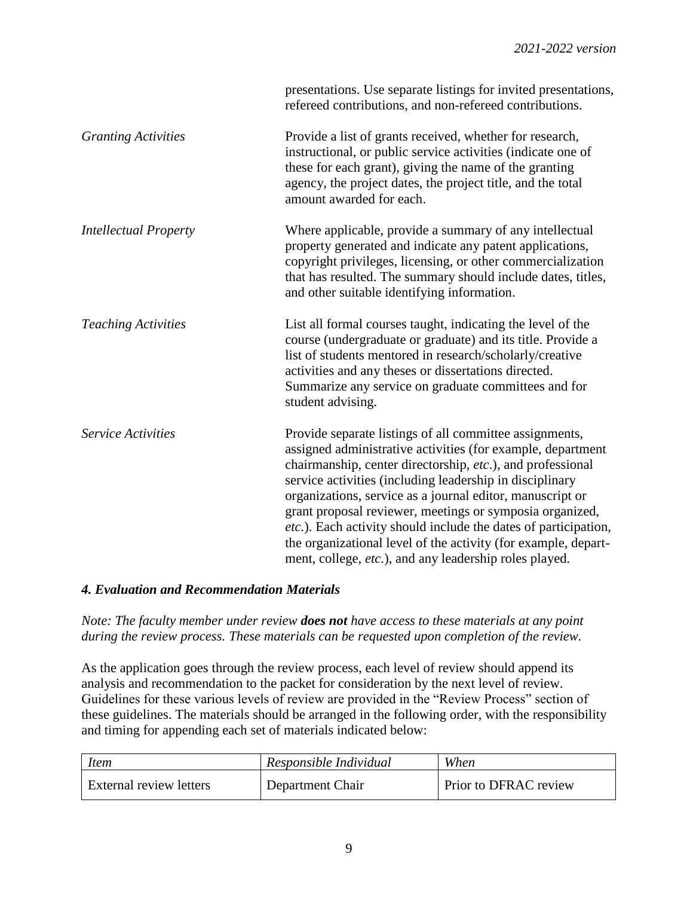|                              | presentations. Use separate listings for invited presentations,<br>refereed contributions, and non-refereed contributions.                                                                                                                                                                                                                                                                                                                                                                                                                                               |
|------------------------------|--------------------------------------------------------------------------------------------------------------------------------------------------------------------------------------------------------------------------------------------------------------------------------------------------------------------------------------------------------------------------------------------------------------------------------------------------------------------------------------------------------------------------------------------------------------------------|
| <b>Granting Activities</b>   | Provide a list of grants received, whether for research,<br>instructional, or public service activities (indicate one of<br>these for each grant), giving the name of the granting<br>agency, the project dates, the project title, and the total<br>amount awarded for each.                                                                                                                                                                                                                                                                                            |
| <b>Intellectual Property</b> | Where applicable, provide a summary of any intellectual<br>property generated and indicate any patent applications,<br>copyright privileges, licensing, or other commercialization<br>that has resulted. The summary should include dates, titles,<br>and other suitable identifying information.                                                                                                                                                                                                                                                                        |
| <b>Teaching Activities</b>   | List all formal courses taught, indicating the level of the<br>course (undergraduate or graduate) and its title. Provide a<br>list of students mentored in research/scholarly/creative<br>activities and any theses or dissertations directed.<br>Summarize any service on graduate committees and for<br>student advising.                                                                                                                                                                                                                                              |
| <b>Service Activities</b>    | Provide separate listings of all committee assignments,<br>assigned administrative activities (for example, department<br>chairmanship, center directorship, etc.), and professional<br>service activities (including leadership in disciplinary<br>organizations, service as a journal editor, manuscript or<br>grant proposal reviewer, meetings or symposia organized,<br>etc.). Each activity should include the dates of participation,<br>the organizational level of the activity (for example, depart-<br>ment, college, etc.), and any leadership roles played. |

## *4. Evaluation and Recommendation Materials*

*Note: The faculty member under review does not have access to these materials at any point during the review process. These materials can be requested upon completion of the review.*

As the application goes through the review process, each level of review should append its analysis and recommendation to the packet for consideration by the next level of review. Guidelines for these various levels of review are provided in the "Review Process" section of these guidelines. The materials should be arranged in the following order, with the responsibility and timing for appending each set of materials indicated below:

| <i>Item</i>             | Responsible Individual | When                  |
|-------------------------|------------------------|-----------------------|
| External review letters | Department Chair       | Prior to DFRAC review |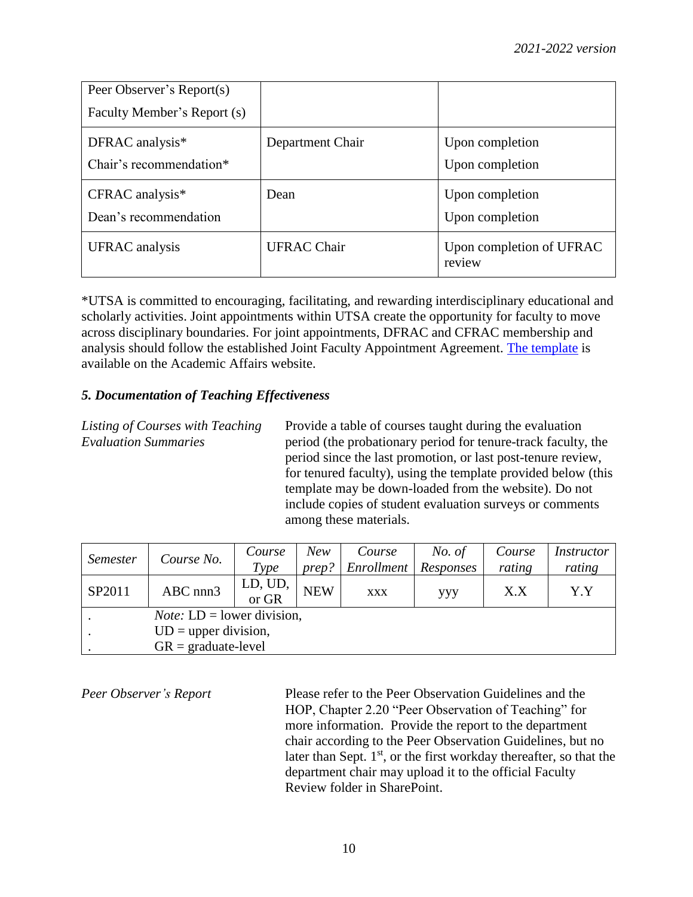| Peer Observer's Report(s)     |                    |                                    |
|-------------------------------|--------------------|------------------------------------|
| Faculty Member's Report (s)   |                    |                                    |
| DFRAC analysis*               | Department Chair   | Upon completion                    |
| Chair's recommendation*       |                    | Upon completion                    |
| $CFRAC$ analysis <sup>*</sup> | Dean               | Upon completion                    |
| Dean's recommendation         |                    | Upon completion                    |
| UFRAC analysis                | <b>UFRAC Chair</b> | Upon completion of UFRAC<br>review |

\*UTSA is committed to encouraging, facilitating, and rewarding interdisciplinary educational and scholarly activities. Joint appointments within UTSA create the opportunity for faculty to move across disciplinary boundaries. For joint appointments, DFRAC and CFRAC membership and analysis should follow the established Joint Faculty Appointment Agreement. [The template](https://provost.utsa.edu/faculty-review/promotion-tenure/docs/Joint-Appointment-Agreement-02112021.docx) is available on the Academic Affairs website.

## *5. Documentation of Teaching Effectiveness*

*Listing of Courses with Teaching* Provide a table of courses taught during the evaluation *Evaluation Summaries* period (the probationary period for tenure-track faculty, the period since the last promotion, or last post-tenure review, for tenured faculty), using the template provided below (this template may be down-loaded from the website). Do not include copies of student evaluation surveys or comments among these materials.

|                 |                                      | Course           | New        | Course                 | No. of | Course | <i>Instructor</i> |
|-----------------|--------------------------------------|------------------|------------|------------------------|--------|--------|-------------------|
| <i>Semester</i> | Course No.                           | Type             | prep?      | Enrollment   Responses |        | rating | rating            |
| SP2011          | ABC nnn3                             | LD, UD,<br>or GR | <b>NEW</b> | <b>XXX</b>             | ууу    | X.X    | Y.Y               |
|                 | <i>Note:</i> $LD = lower division$ , |                  |            |                        |        |        |                   |
|                 | $UD = upper division,$               |                  |            |                        |        |        |                   |
|                 | $GR = \text{graduate-level}$         |                  |            |                        |        |        |                   |

*Peer Observer's Report* Please refer to the Peer Observation Guidelines and the HOP, Chapter 2.20 "Peer Observation of Teaching" for more information. Provide the report to the department chair according to the Peer Observation Guidelines, but no later than Sept.  $1<sup>st</sup>$ , or the first workday thereafter, so that the department chair may upload it to the official Faculty Review folder in SharePoint.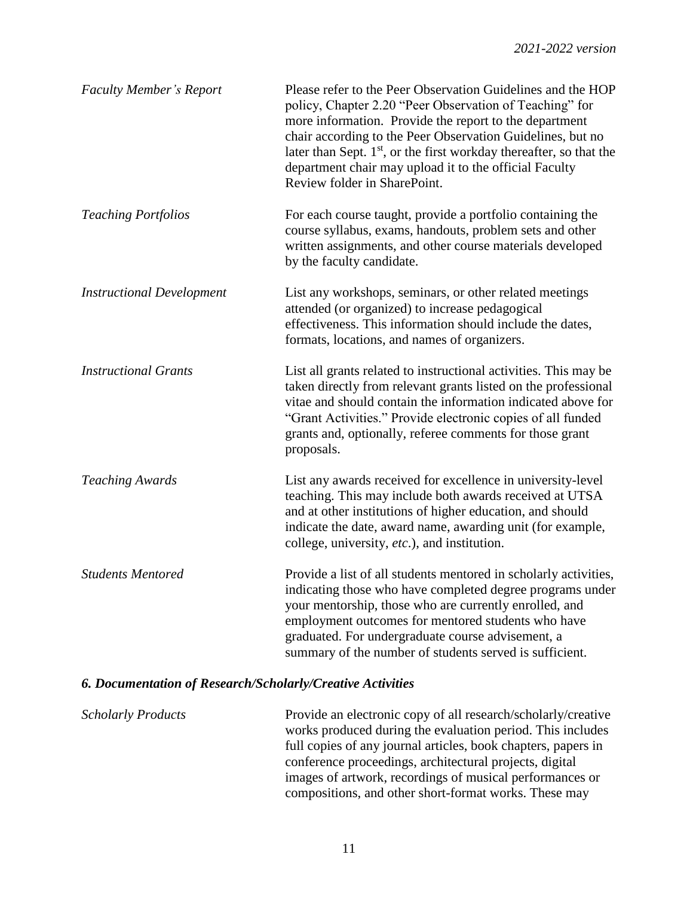| <b>Faculty Member's Report</b>   | Please refer to the Peer Observation Guidelines and the HOP<br>policy, Chapter 2.20 "Peer Observation of Teaching" for<br>more information. Provide the report to the department<br>chair according to the Peer Observation Guidelines, but no<br>later than Sept. $1st$ , or the first workday thereafter, so that the<br>department chair may upload it to the official Faculty<br>Review folder in SharePoint. |
|----------------------------------|-------------------------------------------------------------------------------------------------------------------------------------------------------------------------------------------------------------------------------------------------------------------------------------------------------------------------------------------------------------------------------------------------------------------|
| <b>Teaching Portfolios</b>       | For each course taught, provide a portfolio containing the<br>course syllabus, exams, handouts, problem sets and other<br>written assignments, and other course materials developed<br>by the faculty candidate.                                                                                                                                                                                                  |
| <b>Instructional Development</b> | List any workshops, seminars, or other related meetings<br>attended (or organized) to increase pedagogical<br>effectiveness. This information should include the dates,<br>formats, locations, and names of organizers.                                                                                                                                                                                           |
| <b>Instructional Grants</b>      | List all grants related to instructional activities. This may be<br>taken directly from relevant grants listed on the professional<br>vitae and should contain the information indicated above for<br>"Grant Activities." Provide electronic copies of all funded<br>grants and, optionally, referee comments for those grant<br>proposals.                                                                       |
| <b>Teaching Awards</b>           | List any awards received for excellence in university-level<br>teaching. This may include both awards received at UTSA<br>and at other institutions of higher education, and should<br>indicate the date, award name, awarding unit (for example,<br>college, university, etc.), and institution.                                                                                                                 |
| <b>Students Mentored</b>         | Provide a list of all students mentored in scholarly activities,<br>indicating those who have completed degree programs under<br>your mentorship, those who are currently enrolled, and<br>employment outcomes for mentored students who have<br>graduated. For undergraduate course advisement, a<br>summary of the number of students served is sufficient.                                                     |

## *6. Documentation of Research/Scholarly/Creative Activities*

*Scholarly Products* Provide an electronic copy of all research/scholarly/creative works produced during the evaluation period. This includes full copies of any journal articles, book chapters, papers in conference proceedings, architectural projects, digital images of artwork, recordings of musical performances or compositions, and other short-format works. These may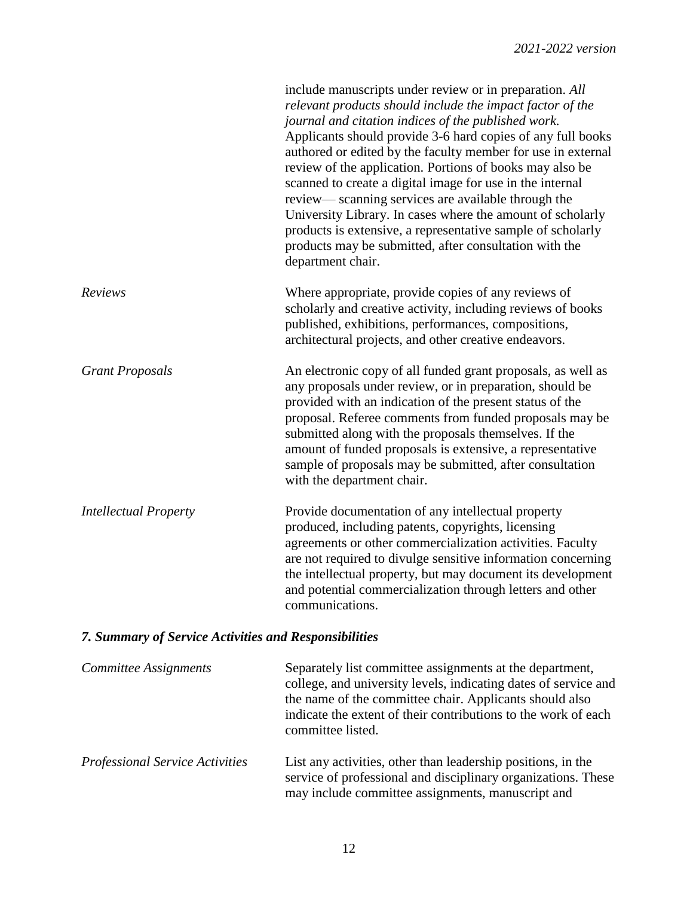|                              | include manuscripts under review or in preparation. All<br>relevant products should include the impact factor of the<br>journal and citation indices of the published work.<br>Applicants should provide 3-6 hard copies of any full books<br>authored or edited by the faculty member for use in external<br>review of the application. Portions of books may also be<br>scanned to create a digital image for use in the internal<br>review—scanning services are available through the<br>University Library. In cases where the amount of scholarly<br>products is extensive, a representative sample of scholarly<br>products may be submitted, after consultation with the<br>department chair. |
|------------------------------|-------------------------------------------------------------------------------------------------------------------------------------------------------------------------------------------------------------------------------------------------------------------------------------------------------------------------------------------------------------------------------------------------------------------------------------------------------------------------------------------------------------------------------------------------------------------------------------------------------------------------------------------------------------------------------------------------------|
| Reviews                      | Where appropriate, provide copies of any reviews of<br>scholarly and creative activity, including reviews of books<br>published, exhibitions, performances, compositions,<br>architectural projects, and other creative endeavors.                                                                                                                                                                                                                                                                                                                                                                                                                                                                    |
| <b>Grant Proposals</b>       | An electronic copy of all funded grant proposals, as well as<br>any proposals under review, or in preparation, should be<br>provided with an indication of the present status of the<br>proposal. Referee comments from funded proposals may be<br>submitted along with the proposals themselves. If the<br>amount of funded proposals is extensive, a representative<br>sample of proposals may be submitted, after consultation<br>with the department chair.                                                                                                                                                                                                                                       |
| <b>Intellectual Property</b> | Provide documentation of any intellectual property<br>produced, including patents, copyrights, licensing<br>agreements or other commercialization activities. Faculty<br>are not required to divulge sensitive information concerning<br>the intellectual property, but may document its development<br>and potential commercialization through letters and other<br>communications.                                                                                                                                                                                                                                                                                                                  |

# *7. Summary of Service Activities and Responsibilities*

| Committee Assignments           | Separately list committee assignments at the department,<br>college, and university levels, indicating dates of service and<br>the name of the committee chair. Applicants should also<br>indicate the extent of their contributions to the work of each<br>committee listed. |
|---------------------------------|-------------------------------------------------------------------------------------------------------------------------------------------------------------------------------------------------------------------------------------------------------------------------------|
| Professional Service Activities | List any activities, other than leadership positions, in the<br>service of professional and disciplinary organizations. These<br>may include committee assignments, manuscript and                                                                                            |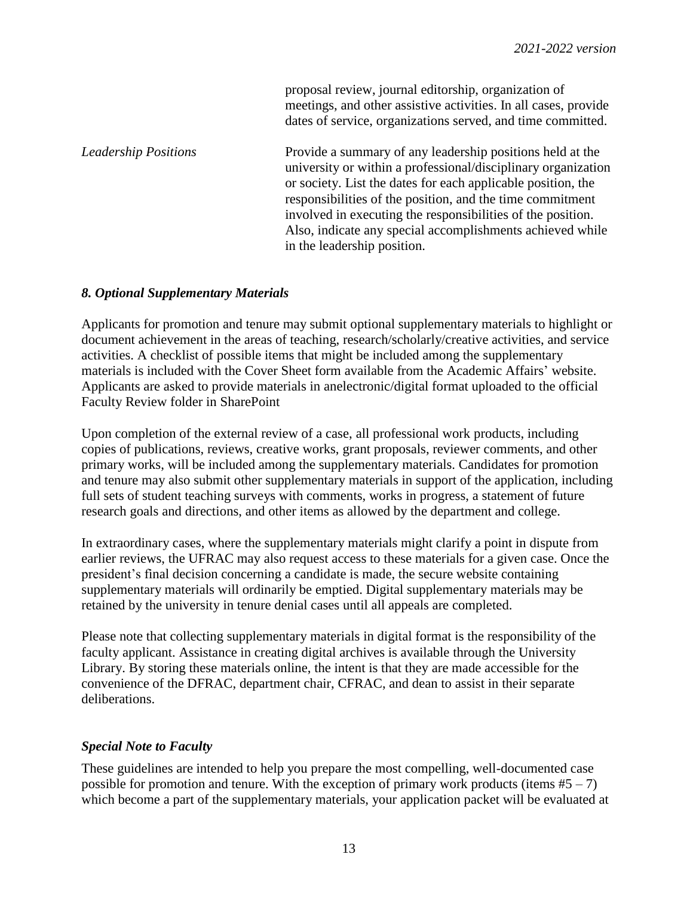proposal review, journal editorship, organization of meetings, and other assistive activities. In all cases, provide dates of service, organizations served, and time committed.

*Leadership Positions* Provide a summary of any leadership positions held at the university or within a professional/disciplinary organization or society. List the dates for each applicable position, the responsibilities of the position, and the time commitment involved in executing the responsibilities of the position. Also, indicate any special accomplishments achieved while in the leadership position.

#### *8. Optional Supplementary Materials*

Applicants for promotion and tenure may submit optional supplementary materials to highlight or document achievement in the areas of teaching, research/scholarly/creative activities, and service activities. A checklist of possible items that might be included among the supplementary materials is included with the Cover Sheet form available from the Academic Affairs' website. Applicants are asked to provide materials in anelectronic/digital format uploaded to the official Faculty Review folder in SharePoint

Upon completion of the external review of a case, all professional work products, including copies of publications, reviews, creative works, grant proposals, reviewer comments, and other primary works, will be included among the supplementary materials. Candidates for promotion and tenure may also submit other supplementary materials in support of the application, including full sets of student teaching surveys with comments, works in progress, a statement of future research goals and directions, and other items as allowed by the department and college.

In extraordinary cases, where the supplementary materials might clarify a point in dispute from earlier reviews, the UFRAC may also request access to these materials for a given case. Once the president's final decision concerning a candidate is made, the secure website containing supplementary materials will ordinarily be emptied. Digital supplementary materials may be retained by the university in tenure denial cases until all appeals are completed.

Please note that collecting supplementary materials in digital format is the responsibility of the faculty applicant. Assistance in creating digital archives is available through the University Library. By storing these materials online, the intent is that they are made accessible for the convenience of the DFRAC, department chair, CFRAC, and dean to assist in their separate deliberations.

#### *Special Note to Faculty*

These guidelines are intended to help you prepare the most compelling, well-documented case possible for promotion and tenure. With the exception of primary work products (items  $#5 - 7$ ) which become a part of the supplementary materials, your application packet will be evaluated at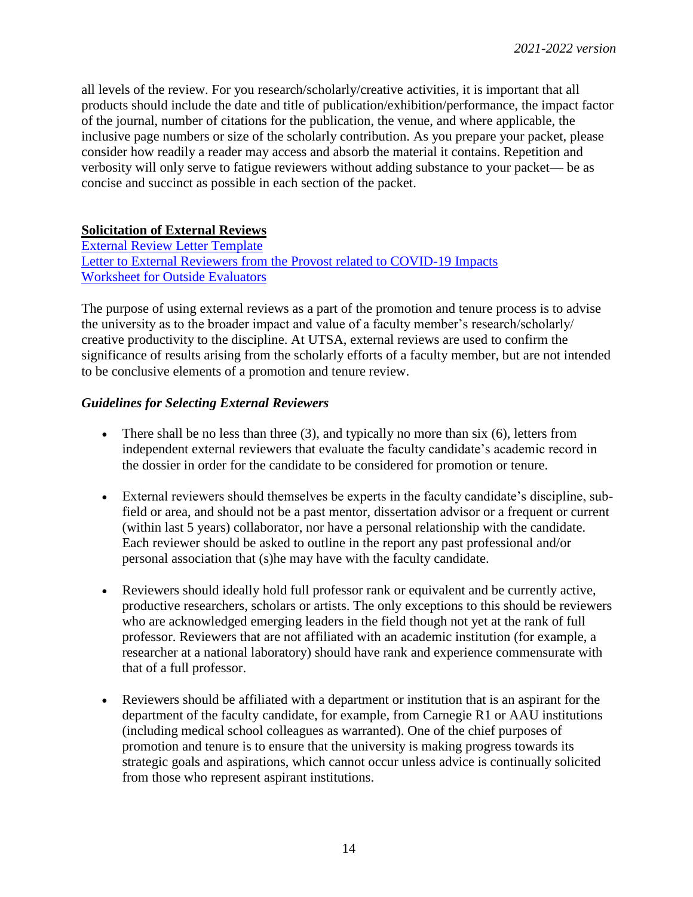all levels of the review. For you research/scholarly/creative activities, it is important that all products should include the date and title of publication/exhibition/performance, the impact factor of the journal, number of citations for the publication, the venue, and where applicable, the inclusive page numbers or size of the scholarly contribution. As you prepare your packet, please consider how readily a reader may access and absorb the material it contains. Repetition and verbosity will only serve to fatigue reviewers without adding substance to your packet— be as concise and succinct as possible in each section of the packet.

#### **Solicitation of External Reviews**

[External Review Letter Template](http://provost.utsa.edu/home/evaluation/PromotionTenure/docs/18-19_Appendix_D-TemplateLtrExternal-required-04-24-19.docx) [Letter to External Reviewers from the Provost related to COVID-19 Impacts](https://provost.utsa.edu/faculty-review/promotion-tenure/docs/COVID-Impact-Checklist-AY21-22.pdf) [Worksheet for Outside Evaluators](http://provost.utsa.edu/home/evaluation/PromotionTenure/docs/UpdatedWorksheetEvaluators-PT-11-28-18.pdf)

The purpose of using external reviews as a part of the promotion and tenure process is to advise the university as to the broader impact and value of a faculty member's research/scholarly/ creative productivity to the discipline. At UTSA, external reviews are used to confirm the significance of results arising from the scholarly efforts of a faculty member, but are not intended to be conclusive elements of a promotion and tenure review.

#### *Guidelines for Selecting External Reviewers*

- There shall be no less than three  $(3)$ , and typically no more than six  $(6)$ , letters from independent external reviewers that evaluate the faculty candidate's academic record in the dossier in order for the candidate to be considered for promotion or tenure.
- External reviewers should themselves be experts in the faculty candidate's discipline, subfield or area, and should not be a past mentor, dissertation advisor or a frequent or current (within last 5 years) collaborator, nor have a personal relationship with the candidate. Each reviewer should be asked to outline in the report any past professional and/or personal association that (s)he may have with the faculty candidate.
- Reviewers should ideally hold full professor rank or equivalent and be currently active, productive researchers, scholars or artists. The only exceptions to this should be reviewers who are acknowledged emerging leaders in the field though not yet at the rank of full professor. Reviewers that are not affiliated with an academic institution (for example, a researcher at a national laboratory) should have rank and experience commensurate with that of a full professor.
- Reviewers should be affiliated with a department or institution that is an aspirant for the department of the faculty candidate, for example, from Carnegie R1 or AAU institutions (including medical school colleagues as warranted). One of the chief purposes of promotion and tenure is to ensure that the university is making progress towards its strategic goals and aspirations, which cannot occur unless advice is continually solicited from those who represent aspirant institutions.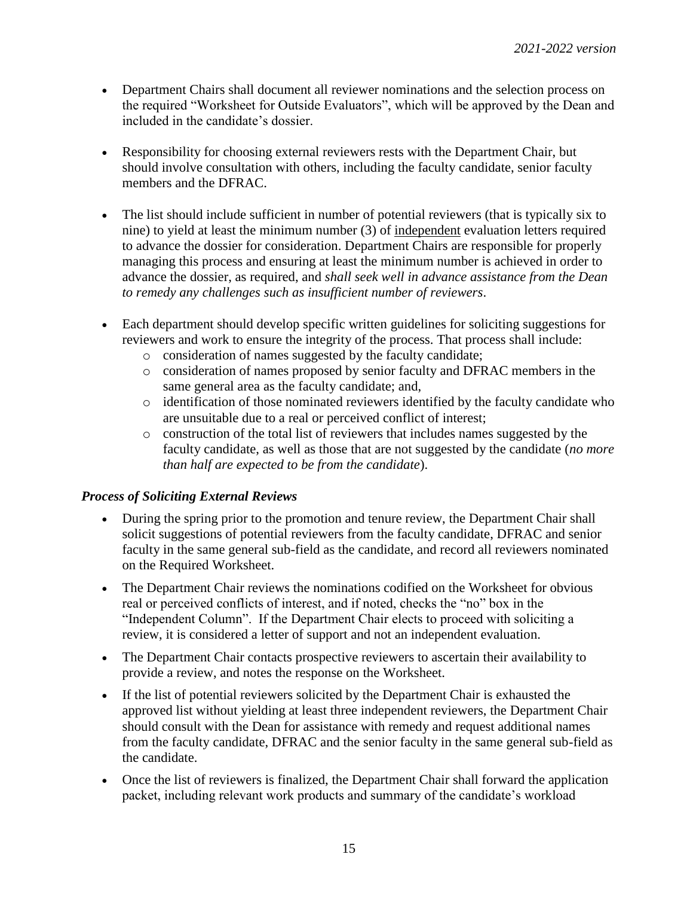- Department Chairs shall document all reviewer nominations and the selection process on the required "Worksheet for Outside Evaluators", which will be approved by the Dean and included in the candidate's dossier.
- Responsibility for choosing external reviewers rests with the Department Chair, but should involve consultation with others, including the faculty candidate, senior faculty members and the DFRAC.
- The list should include sufficient in number of potential reviewers (that is typically six to nine) to yield at least the minimum number (3) of independent evaluation letters required to advance the dossier for consideration. Department Chairs are responsible for properly managing this process and ensuring at least the minimum number is achieved in order to advance the dossier, as required, and *shall seek well in advance assistance from the Dean to remedy any challenges such as insufficient number of reviewers*.
- Each department should develop specific written guidelines for soliciting suggestions for reviewers and work to ensure the integrity of the process. That process shall include:
	- o consideration of names suggested by the faculty candidate;
	- o consideration of names proposed by senior faculty and DFRAC members in the same general area as the faculty candidate; and,
	- o identification of those nominated reviewers identified by the faculty candidate who are unsuitable due to a real or perceived conflict of interest;
	- o construction of the total list of reviewers that includes names suggested by the faculty candidate, as well as those that are not suggested by the candidate (*no more than half are expected to be from the candidate*).

## *Process of Soliciting External Reviews*

- During the spring prior to the promotion and tenure review, the Department Chair shall solicit suggestions of potential reviewers from the faculty candidate, DFRAC and senior faculty in the same general sub-field as the candidate, and record all reviewers nominated on the Required Worksheet.
- The Department Chair reviews the nominations codified on the Worksheet for obvious real or perceived conflicts of interest, and if noted, checks the "no" box in the "Independent Column". If the Department Chair elects to proceed with soliciting a review, it is considered a letter of support and not an independent evaluation.
- The Department Chair contacts prospective reviewers to ascertain their availability to provide a review, and notes the response on the Worksheet.
- If the list of potential reviewers solicited by the Department Chair is exhausted the approved list without yielding at least three independent reviewers, the Department Chair should consult with the Dean for assistance with remedy and request additional names from the faculty candidate, DFRAC and the senior faculty in the same general sub-field as the candidate.
- Once the list of reviewers is finalized, the Department Chair shall forward the application packet, including relevant work products and summary of the candidate's workload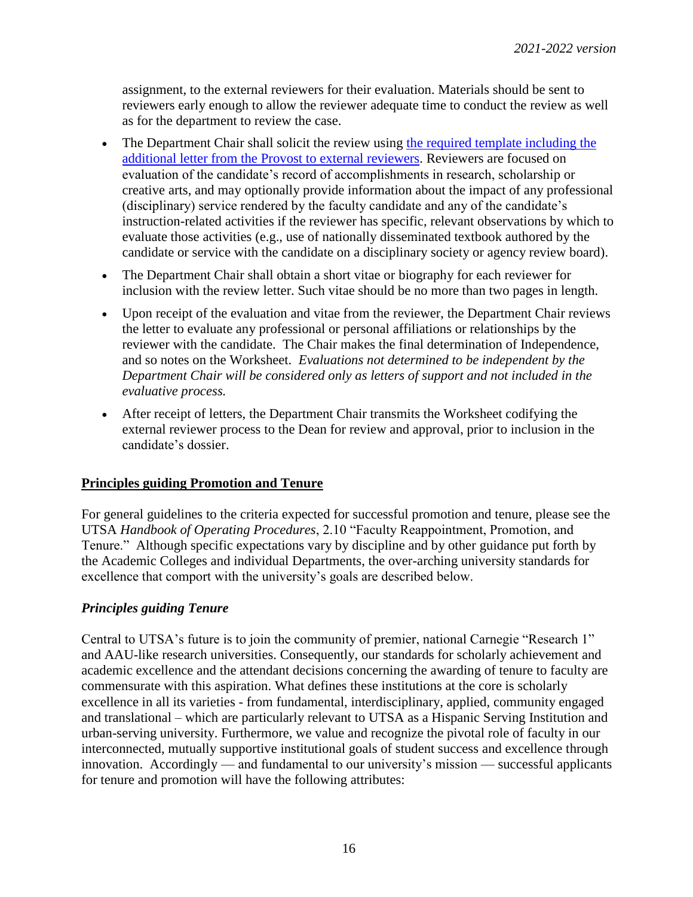assignment, to the external reviewers for their evaluation. Materials should be sent to reviewers early enough to allow the reviewer adequate time to conduct the review as well as for the department to review the case.

- The Department Chair shall solicit the review using [the required template](http://provost.utsa.edu/home/evaluation/PromotionTenure/docs/18-19_Appendix_D-TemplateLtrExternal-required-11-27-18.docx) including the additional letter from the Provost to external reviewers. Reviewers are focused on evaluation of the candidate's record of accomplishments in research, scholarship or creative arts, and may optionally provide information about the impact of any professional (disciplinary) service rendered by the faculty candidate and any of the candidate's instruction-related activities if the reviewer has specific, relevant observations by which to evaluate those activities (e.g., use of nationally disseminated textbook authored by the candidate or service with the candidate on a disciplinary society or agency review board).
- The Department Chair shall obtain a short vitae or biography for each reviewer for inclusion with the review letter. Such vitae should be no more than two pages in length.
- Upon receipt of the evaluation and vitae from the reviewer, the Department Chair reviews the letter to evaluate any professional or personal affiliations or relationships by the reviewer with the candidate. The Chair makes the final determination of Independence, and so notes on the Worksheet. *Evaluations not determined to be independent by the Department Chair will be considered only as letters of support and not included in the evaluative process.*
- After receipt of letters, the Department Chair transmits the Worksheet codifying the external reviewer process to the Dean for review and approval, prior to inclusion in the candidate's dossier.

## **Principles guiding Promotion and Tenure**

For general guidelines to the criteria expected for successful promotion and tenure, please see the UTSA *Handbook of Operating Procedures*, 2.10 "Faculty Reappointment, Promotion, and Tenure." Although specific expectations vary by discipline and by other guidance put forth by the Academic Colleges and individual Departments, the over-arching university standards for excellence that comport with the university's goals are described below.

#### *Principles guiding Tenure*

Central to UTSA's future is to join the community of premier, national Carnegie "Research 1" and AAU-like research universities. Consequently, our standards for scholarly achievement and academic excellence and the attendant decisions concerning the awarding of tenure to faculty are commensurate with this aspiration. What defines these institutions at the core is scholarly excellence in all its varieties - from fundamental, interdisciplinary, applied, community engaged and translational – which are particularly relevant to UTSA as a Hispanic Serving Institution and urban-serving university. Furthermore, we value and recognize the pivotal role of faculty in our interconnected, mutually supportive institutional goals of student success and excellence through innovation. Accordingly — and fundamental to our university's mission — successful applicants for tenure and promotion will have the following attributes: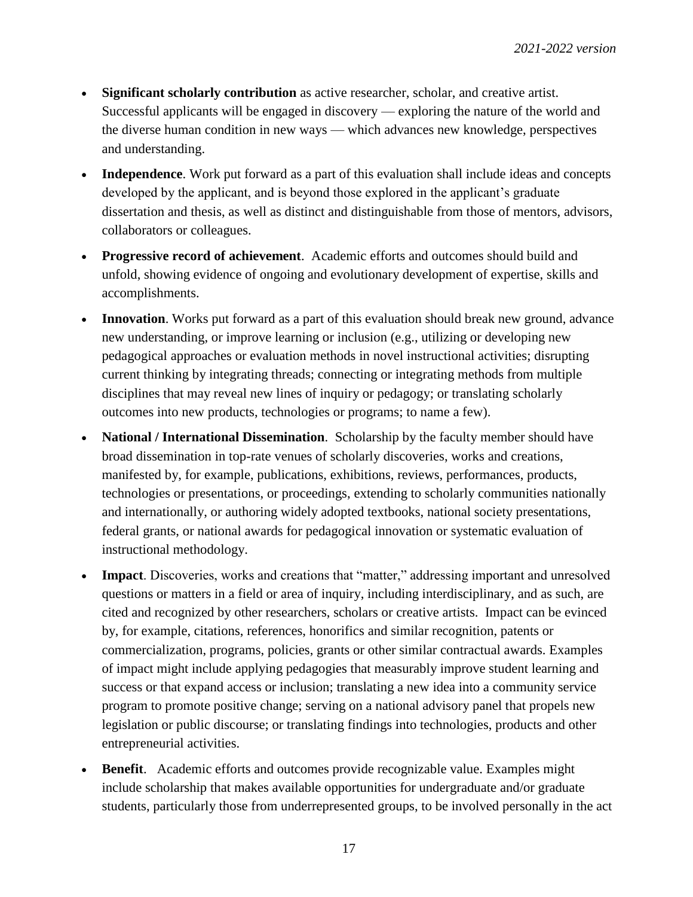- **Significant scholarly contribution** as active researcher, scholar, and creative artist. Successful applicants will be engaged in discovery — exploring the nature of the world and the diverse human condition in new ways — which advances new knowledge, perspectives and understanding.
- **Independence**. Work put forward as a part of this evaluation shall include ideas and concepts developed by the applicant, and is beyond those explored in the applicant's graduate dissertation and thesis, as well as distinct and distinguishable from those of mentors, advisors, collaborators or colleagues.
- **Progressive record of achievement**. Academic efforts and outcomes should build and unfold, showing evidence of ongoing and evolutionary development of expertise, skills and accomplishments.
- Innovation. Works put forward as a part of this evaluation should break new ground, advance new understanding, or improve learning or inclusion (e.g., utilizing or developing new pedagogical approaches or evaluation methods in novel instructional activities; disrupting current thinking by integrating threads; connecting or integrating methods from multiple disciplines that may reveal new lines of inquiry or pedagogy; or translating scholarly outcomes into new products, technologies or programs; to name a few).
- **National / International Dissemination**. Scholarship by the faculty member should have broad dissemination in top-rate venues of scholarly discoveries, works and creations, manifested by, for example, publications, exhibitions, reviews, performances, products, technologies or presentations, or proceedings, extending to scholarly communities nationally and internationally, or authoring widely adopted textbooks, national society presentations, federal grants, or national awards for pedagogical innovation or systematic evaluation of instructional methodology.
- **Impact**. Discoveries, works and creations that "matter," addressing important and unresolved questions or matters in a field or area of inquiry, including interdisciplinary, and as such, are cited and recognized by other researchers, scholars or creative artists. Impact can be evinced by, for example, citations, references, honorifics and similar recognition, patents or commercialization, programs, policies, grants or other similar contractual awards. Examples of impact might include applying pedagogies that measurably improve student learning and success or that expand access or inclusion; translating a new idea into a community service program to promote positive change; serving on a national advisory panel that propels new legislation or public discourse; or translating findings into technologies, products and other entrepreneurial activities.
- **Benefit**. Academic efforts and outcomes provide recognizable value. Examples might include scholarship that makes available opportunities for undergraduate and/or graduate students, particularly those from underrepresented groups, to be involved personally in the act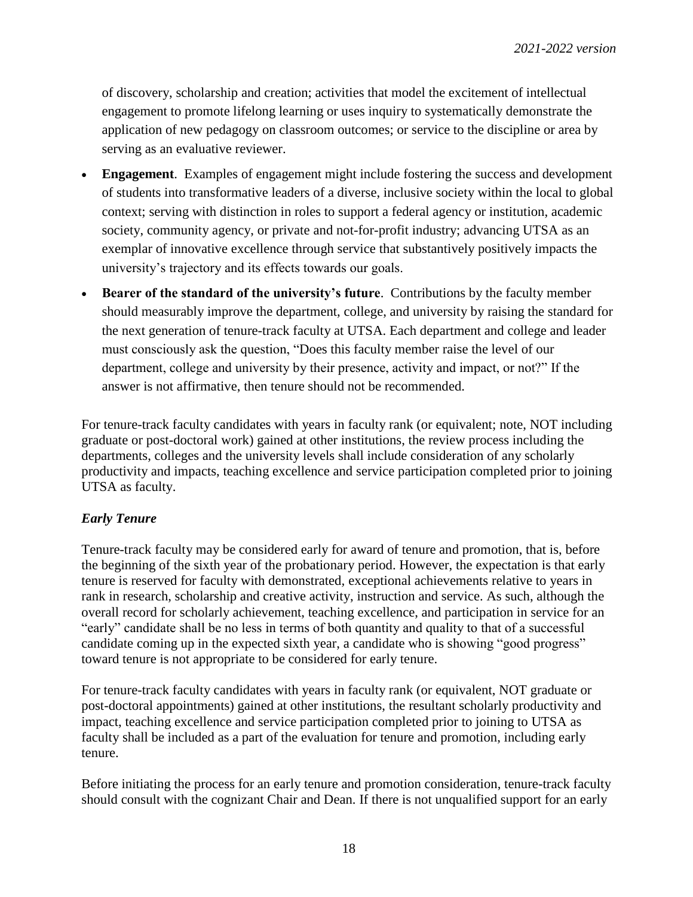of discovery, scholarship and creation; activities that model the excitement of intellectual engagement to promote lifelong learning or uses inquiry to systematically demonstrate the application of new pedagogy on classroom outcomes; or service to the discipline or area by serving as an evaluative reviewer.

- **Engagement**. Examples of engagement might include fostering the success and development of students into transformative leaders of a diverse, inclusive society within the local to global context; serving with distinction in roles to support a federal agency or institution, academic society, community agency, or private and not-for-profit industry; advancing UTSA as an exemplar of innovative excellence through service that substantively positively impacts the university's trajectory and its effects towards our goals.
- **Bearer of the standard of the university's future**. Contributions by the faculty member should measurably improve the department, college, and university by raising the standard for the next generation of tenure-track faculty at UTSA. Each department and college and leader must consciously ask the question, "Does this faculty member raise the level of our department, college and university by their presence, activity and impact, or not?" If the answer is not affirmative, then tenure should not be recommended.

For tenure-track faculty candidates with years in faculty rank (or equivalent; note, NOT including graduate or post-doctoral work) gained at other institutions, the review process including the departments, colleges and the university levels shall include consideration of any scholarly productivity and impacts, teaching excellence and service participation completed prior to joining UTSA as faculty.

## *Early Tenure*

Tenure-track faculty may be considered early for award of tenure and promotion, that is, before the beginning of the sixth year of the probationary period. However, the expectation is that early tenure is reserved for faculty with demonstrated*,* exceptional achievements relative to years in rank in research, scholarship and creative activity, instruction and service. As such, although the overall record for scholarly achievement, teaching excellence, and participation in service for an "early" candidate shall be no less in terms of both quantity and quality to that of a successful candidate coming up in the expected sixth year, a candidate who is showing "good progress" toward tenure is not appropriate to be considered for early tenure.

For tenure-track faculty candidates with years in faculty rank (or equivalent, NOT graduate or post-doctoral appointments) gained at other institutions, the resultant scholarly productivity and impact, teaching excellence and service participation completed prior to joining to UTSA as faculty shall be included as a part of the evaluation for tenure and promotion, including early tenure.

Before initiating the process for an early tenure and promotion consideration, tenure-track faculty should consult with the cognizant Chair and Dean. If there is not unqualified support for an early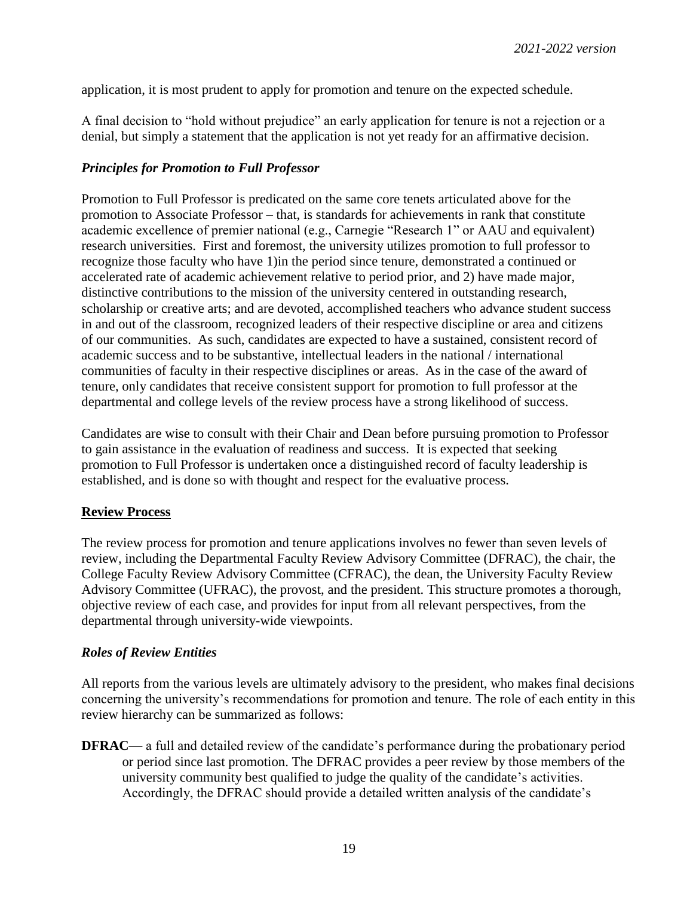application, it is most prudent to apply for promotion and tenure on the expected schedule.

A final decision to "hold without prejudice" an early application for tenure is not a rejection or a denial, but simply a statement that the application is not yet ready for an affirmative decision.

## *Principles for Promotion to Full Professor*

Promotion to Full Professor is predicated on the same core tenets articulated above for the promotion to Associate Professor – that, is standards for achievements in rank that constitute academic excellence of premier national (e.g., Carnegie "Research 1" or AAU and equivalent) research universities. First and foremost, the university utilizes promotion to full professor to recognize those faculty who have 1)in the period since tenure, demonstrated a continued or accelerated rate of academic achievement relative to period prior, and 2) have made major, distinctive contributions to the mission of the university centered in outstanding research, scholarship or creative arts; and are devoted, accomplished teachers who advance student success in and out of the classroom, recognized leaders of their respective discipline or area and citizens of our communities. As such, candidates are expected to have a sustained, consistent record of academic success and to be substantive, intellectual leaders in the national / international communities of faculty in their respective disciplines or areas. As in the case of the award of tenure, only candidates that receive consistent support for promotion to full professor at the departmental and college levels of the review process have a strong likelihood of success.

Candidates are wise to consult with their Chair and Dean before pursuing promotion to Professor to gain assistance in the evaluation of readiness and success. It is expected that seeking promotion to Full Professor is undertaken once a distinguished record of faculty leadership is established, and is done so with thought and respect for the evaluative process.

## **Review Process**

The review process for promotion and tenure applications involves no fewer than seven levels of review, including the Departmental Faculty Review Advisory Committee (DFRAC), the chair, the College Faculty Review Advisory Committee (CFRAC), the dean, the University Faculty Review Advisory Committee (UFRAC), the provost, and the president. This structure promotes a thorough, objective review of each case, and provides for input from all relevant perspectives, from the departmental through university-wide viewpoints.

## *Roles of Review Entities*

All reports from the various levels are ultimately advisory to the president, who makes final decisions concerning the university's recommendations for promotion and tenure. The role of each entity in this review hierarchy can be summarized as follows:

**DFRAC—** a full and detailed review of the candidate's performance during the probationary period or period since last promotion. The DFRAC provides a peer review by those members of the university community best qualified to judge the quality of the candidate's activities. Accordingly, the DFRAC should provide a detailed written analysis of the candidate's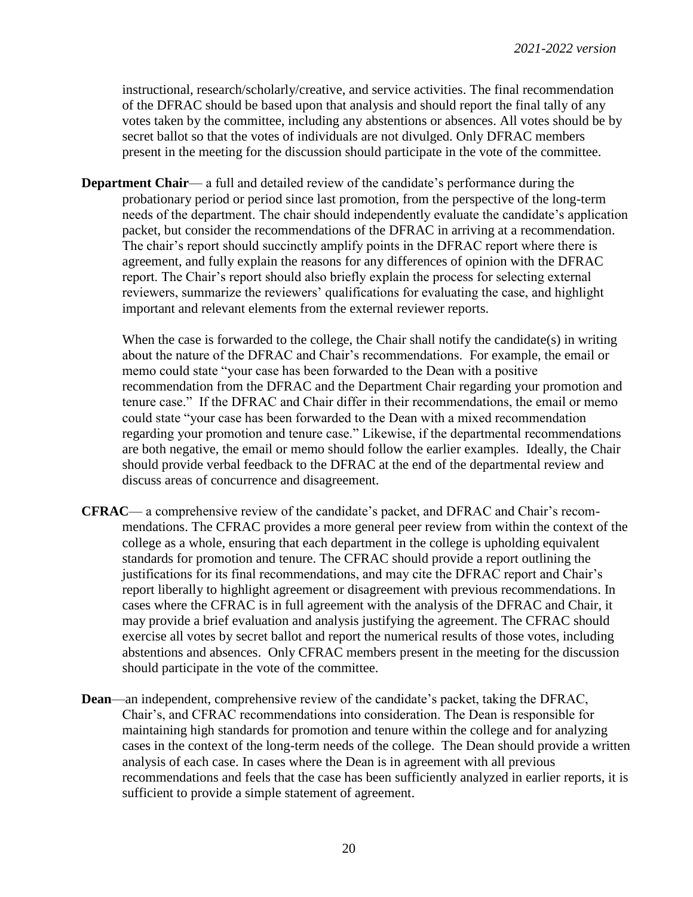instructional, research/scholarly/creative, and service activities. The final recommendation of the DFRAC should be based upon that analysis and should report the final tally of any votes taken by the committee, including any abstentions or absences. All votes should be by secret ballot so that the votes of individuals are not divulged. Only DFRAC members present in the meeting for the discussion should participate in the vote of the committee.

**Department Chair—** a full and detailed review of the candidate's performance during the probationary period or period since last promotion, from the perspective of the long-term needs of the department. The chair should independently evaluate the candidate's application packet, but consider the recommendations of the DFRAC in arriving at a recommendation. The chair's report should succinctly amplify points in the DFRAC report where there is agreement, and fully explain the reasons for any differences of opinion with the DFRAC report. The Chair's report should also briefly explain the process for selecting external reviewers, summarize the reviewers' qualifications for evaluating the case, and highlight important and relevant elements from the external reviewer reports.

When the case is forwarded to the college, the Chair shall notify the candidate(s) in writing about the nature of the DFRAC and Chair's recommendations. For example, the email or memo could state "your case has been forwarded to the Dean with a positive recommendation from the DFRAC and the Department Chair regarding your promotion and tenure case." If the DFRAC and Chair differ in their recommendations, the email or memo could state "your case has been forwarded to the Dean with a mixed recommendation regarding your promotion and tenure case." Likewise, if the departmental recommendations are both negative, the email or memo should follow the earlier examples. Ideally, the Chair should provide verbal feedback to the DFRAC at the end of the departmental review and discuss areas of concurrence and disagreement.

- **CFRAC** a comprehensive review of the candidate's packet, and DFRAC and Chair's recommendations. The CFRAC provides a more general peer review from within the context of the college as a whole, ensuring that each department in the college is upholding equivalent standards for promotion and tenure. The CFRAC should provide a report outlining the justifications for its final recommendations, and may cite the DFRAC report and Chair's report liberally to highlight agreement or disagreement with previous recommendations. In cases where the CFRAC is in full agreement with the analysis of the DFRAC and Chair, it may provide a brief evaluation and analysis justifying the agreement. The CFRAC should exercise all votes by secret ballot and report the numerical results of those votes, including abstentions and absences. Only CFRAC members present in the meeting for the discussion should participate in the vote of the committee.
- **Dean**—an independent, comprehensive review of the candidate's packet, taking the DFRAC, Chair's, and CFRAC recommendations into consideration. The Dean is responsible for maintaining high standards for promotion and tenure within the college and for analyzing cases in the context of the long-term needs of the college. The Dean should provide a written analysis of each case. In cases where the Dean is in agreement with all previous recommendations and feels that the case has been sufficiently analyzed in earlier reports, it is sufficient to provide a simple statement of agreement.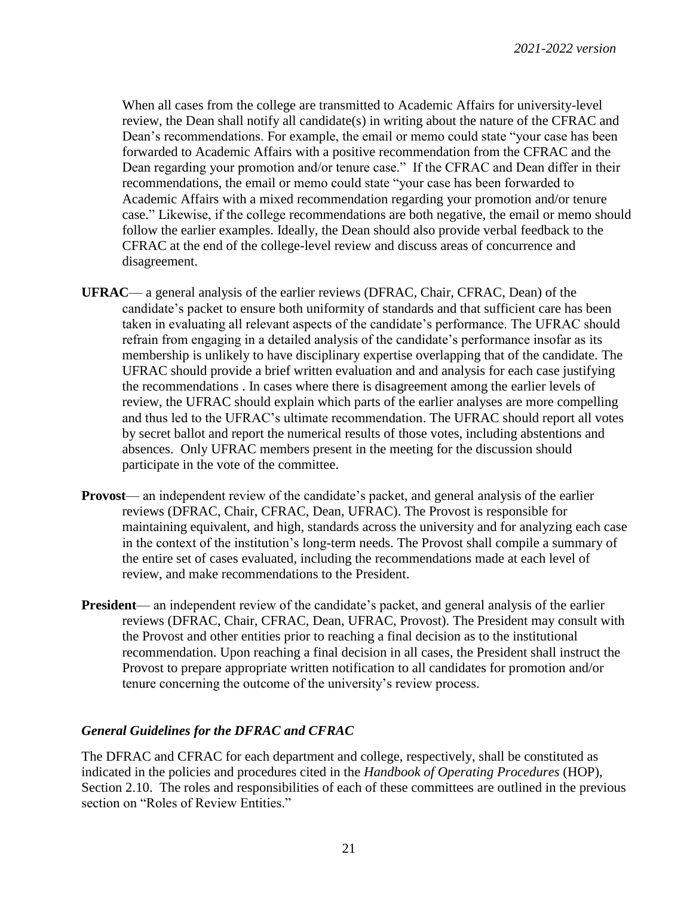When all cases from the college are transmitted to Academic Affairs for university-level review, the Dean shall notify all candidate(s) in writing about the nature of the CFRAC and Dean's recommendations. For example, the email or memo could state "your case has been forwarded to Academic Affairs with a positive recommendation from the CFRAC and the Dean regarding your promotion and/or tenure case." If the CFRAC and Dean differ in their recommendations, the email or memo could state "your case has been forwarded to Academic Affairs with a mixed recommendation regarding your promotion and/or tenure case." Likewise, if the college recommendations are both negative, the email or memo should follow the earlier examples. Ideally, the Dean should also provide verbal feedback to the CFRAC at the end of the college-level review and discuss areas of concurrence and disagreement.

- **UFRAC** a general analysis of the earlier reviews (DFRAC, Chair, CFRAC, Dean) of the candidate's packet to ensure both uniformity of standards and that sufficient care has been taken in evaluating all relevant aspects of the candidate's performance. The UFRAC should refrain from engaging in a detailed analysis of the candidate's performance insofar as its membership is unlikely to have disciplinary expertise overlapping that of the candidate. The UFRAC should provide a brief written evaluation and and analysis for each case justifying the recommendations . In cases where there is disagreement among the earlier levels of review, the UFRAC should explain which parts of the earlier analyses are more compelling and thus led to the UFRAC's ultimate recommendation. The UFRAC should report all votes by secret ballot and report the numerical results of those votes, including abstentions and absences. Only UFRAC members present in the meeting for the discussion should participate in the vote of the committee.
- **Provost** an independent review of the candidate's packet, and general analysis of the earlier reviews (DFRAC, Chair, CFRAC, Dean, UFRAC). The Provost is responsible for maintaining equivalent, and high, standards across the university and for analyzing each case in the context of the institution's long-term needs. The Provost shall compile a summary of the entire set of cases evaluated, including the recommendations made at each level of review, and make recommendations to the President.
- **President** an independent review of the candidate's packet, and general analysis of the earlier reviews (DFRAC, Chair, CFRAC, Dean, UFRAC, Provost). The President may consult with the Provost and other entities prior to reaching a final decision as to the institutional recommendation. Upon reaching a final decision in all cases, the President shall instruct the Provost to prepare appropriate written notification to all candidates for promotion and/or tenure concerning the outcome of the university's review process.

#### *General Guidelines for the DFRAC and CFRAC*

The DFRAC and CFRAC for each department and college, respectively, shall be constituted as indicated in the policies and procedures cited in the *Handbook of Operating Procedures* (HOP), Section 2.10. The roles and responsibilities of each of these committees are outlined in the previous section on "Roles of Review Entities."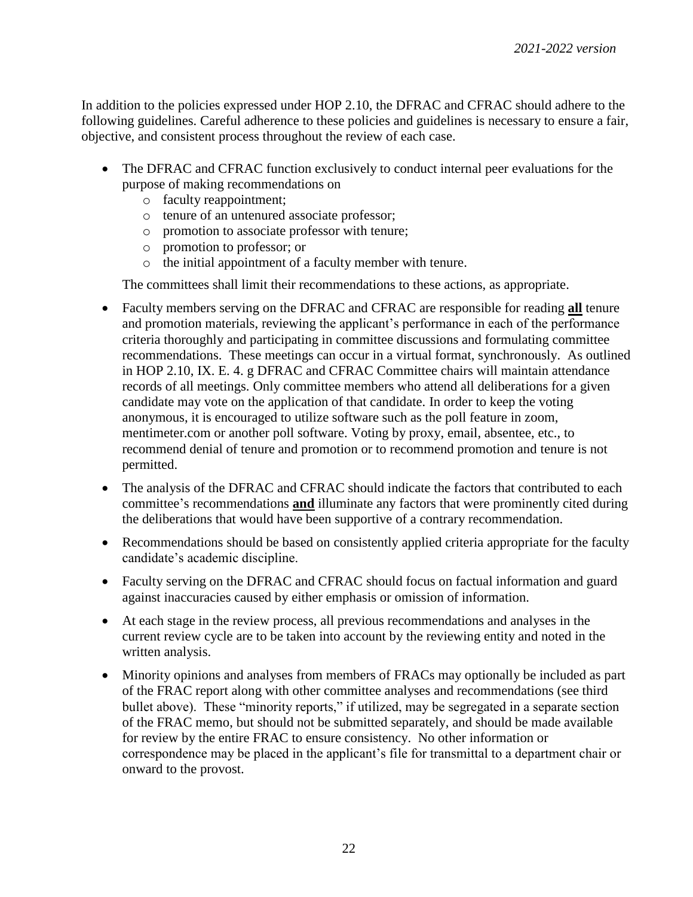In addition to the policies expressed under HOP 2.10, the DFRAC and CFRAC should adhere to the following guidelines. Careful adherence to these policies and guidelines is necessary to ensure a fair, objective, and consistent process throughout the review of each case.

- The DFRAC and CFRAC function exclusively to conduct internal peer evaluations for the purpose of making recommendations on
	- o faculty reappointment;
	- o tenure of an untenured associate professor;
	- o promotion to associate professor with tenure;
	- o promotion to professor; or
	- o the initial appointment of a faculty member with tenure.

The committees shall limit their recommendations to these actions, as appropriate.

- Faculty members serving on the DFRAC and CFRAC are responsible for reading **all** tenure and promotion materials, reviewing the applicant's performance in each of the performance criteria thoroughly and participating in committee discussions and formulating committee recommendations. These meetings can occur in a virtual format, synchronously. As outlined in HOP 2.10, IX. E. 4. g DFRAC and CFRAC Committee chairs will maintain attendance records of all meetings. Only committee members who attend all deliberations for a given candidate may vote on the application of that candidate. In order to keep the voting anonymous, it is encouraged to utilize software such as the poll feature in zoom, mentimeter.com or another poll software. Voting by proxy, email, absentee, etc., to recommend denial of tenure and promotion or to recommend promotion and tenure is not permitted.
- The analysis of the DFRAC and CFRAC should indicate the factors that contributed to each committee's recommendations **and** illuminate any factors that were prominently cited during the deliberations that would have been supportive of a contrary recommendation.
- Recommendations should be based on consistently applied criteria appropriate for the faculty candidate's academic discipline.
- Faculty serving on the DFRAC and CFRAC should focus on factual information and guard against inaccuracies caused by either emphasis or omission of information.
- At each stage in the review process, all previous recommendations and analyses in the current review cycle are to be taken into account by the reviewing entity and noted in the written analysis.
- Minority opinions and analyses from members of FRACs may optionally be included as part of the FRAC report along with other committee analyses and recommendations (see third bullet above). These "minority reports," if utilized, may be segregated in a separate section of the FRAC memo, but should not be submitted separately, and should be made available for review by the entire FRAC to ensure consistency. No other information or correspondence may be placed in the applicant's file for transmittal to a department chair or onward to the provost.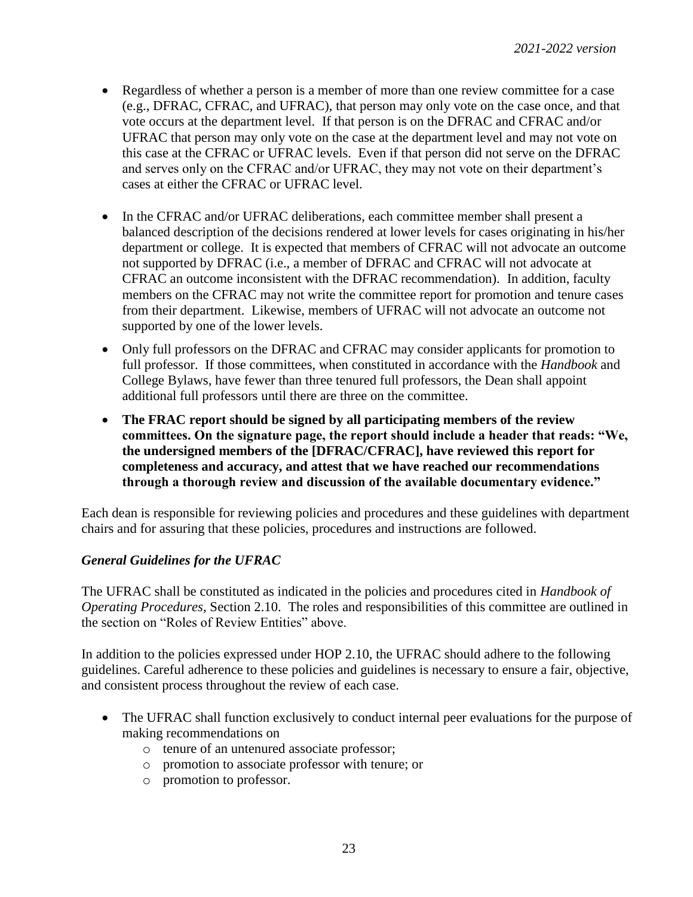- Regardless of whether a person is a member of more than one review committee for a case (e.g., DFRAC, CFRAC, and UFRAC), that person may only vote on the case once, and that vote occurs at the department level. If that person is on the DFRAC and CFRAC and/or UFRAC that person may only vote on the case at the department level and may not vote on this case at the CFRAC or UFRAC levels. Even if that person did not serve on the DFRAC and serves only on the CFRAC and/or UFRAC, they may not vote on their department's cases at either the CFRAC or UFRAC level.
- In the CFRAC and/or UFRAC deliberations, each committee member shall present a balanced description of the decisions rendered at lower levels for cases originating in his/her department or college. It is expected that members of CFRAC will not advocate an outcome not supported by DFRAC (i.e., a member of DFRAC and CFRAC will not advocate at CFRAC an outcome inconsistent with the DFRAC recommendation). In addition, faculty members on the CFRAC may not write the committee report for promotion and tenure cases from their department. Likewise, members of UFRAC will not advocate an outcome not supported by one of the lower levels.
- Only full professors on the DFRAC and CFRAC may consider applicants for promotion to full professor. If those committees, when constituted in accordance with the *Handbook* and College Bylaws, have fewer than three tenured full professors, the Dean shall appoint additional full professors until there are three on the committee.
- **The FRAC report should be signed by all participating members of the review committees. On the signature page, the report should include a header that reads: "We, the undersigned members of the [DFRAC/CFRAC], have reviewed this report for completeness and accuracy, and attest that we have reached our recommendations through a thorough review and discussion of the available documentary evidence."**

Each dean is responsible for reviewing policies and procedures and these guidelines with department chairs and for assuring that these policies, procedures and instructions are followed.

## *General Guidelines for the UFRAC*

The UFRAC shall be constituted as indicated in the policies and procedures cited in *Handbook of Operating Procedures*, Section 2.10. The roles and responsibilities of this committee are outlined in the section on "Roles of Review Entities" above.

In addition to the policies expressed under HOP 2.10, the UFRAC should adhere to the following guidelines. Careful adherence to these policies and guidelines is necessary to ensure a fair, objective, and consistent process throughout the review of each case.

- The UFRAC shall function exclusively to conduct internal peer evaluations for the purpose of making recommendations on
	- o tenure of an untenured associate professor;
	- o promotion to associate professor with tenure; or
	- o promotion to professor.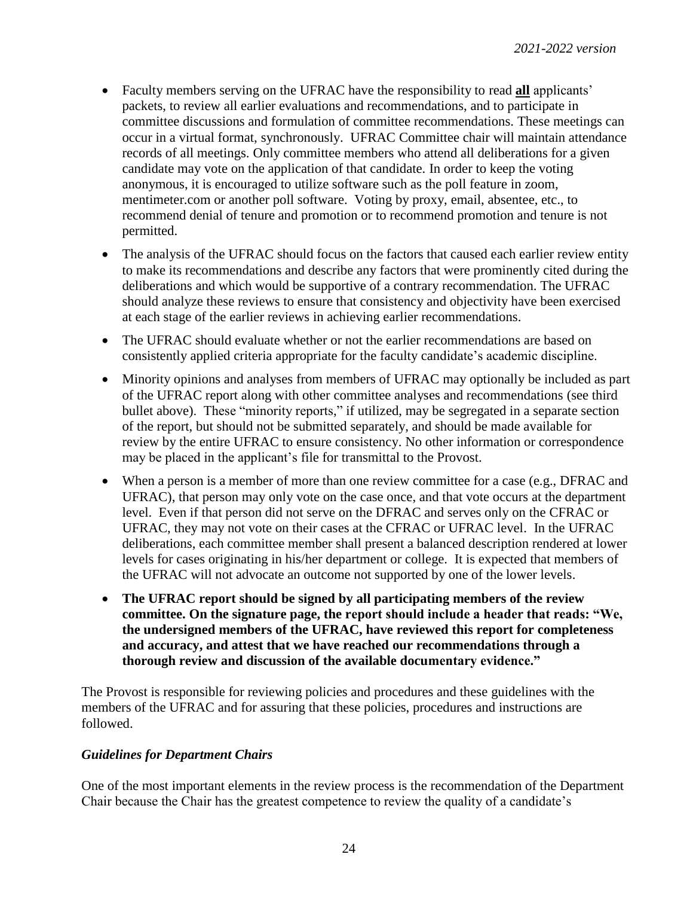- Faculty members serving on the UFRAC have the responsibility to read **all** applicants' packets, to review all earlier evaluations and recommendations, and to participate in committee discussions and formulation of committee recommendations. These meetings can occur in a virtual format, synchronously. UFRAC Committee chair will maintain attendance records of all meetings. Only committee members who attend all deliberations for a given candidate may vote on the application of that candidate. In order to keep the voting anonymous, it is encouraged to utilize software such as the poll feature in zoom, mentimeter.com or another poll software. Voting by proxy, email, absentee, etc., to recommend denial of tenure and promotion or to recommend promotion and tenure is not permitted.
- The analysis of the UFRAC should focus on the factors that caused each earlier review entity to make its recommendations and describe any factors that were prominently cited during the deliberations and which would be supportive of a contrary recommendation. The UFRAC should analyze these reviews to ensure that consistency and objectivity have been exercised at each stage of the earlier reviews in achieving earlier recommendations.
- The UFRAC should evaluate whether or not the earlier recommendations are based on consistently applied criteria appropriate for the faculty candidate's academic discipline.
- Minority opinions and analyses from members of UFRAC may optionally be included as part of the UFRAC report along with other committee analyses and recommendations (see third bullet above). These "minority reports," if utilized, may be segregated in a separate section of the report, but should not be submitted separately, and should be made available for review by the entire UFRAC to ensure consistency. No other information or correspondence may be placed in the applicant's file for transmittal to the Provost.
- When a person is a member of more than one review committee for a case (e.g., DFRAC and UFRAC), that person may only vote on the case once, and that vote occurs at the department level. Even if that person did not serve on the DFRAC and serves only on the CFRAC or UFRAC, they may not vote on their cases at the CFRAC or UFRAC level. In the UFRAC deliberations, each committee member shall present a balanced description rendered at lower levels for cases originating in his/her department or college. It is expected that members of the UFRAC will not advocate an outcome not supported by one of the lower levels.
- **The UFRAC report should be signed by all participating members of the review committee. On the signature page, the report should include a header that reads: "We, the undersigned members of the UFRAC, have reviewed this report for completeness and accuracy, and attest that we have reached our recommendations through a thorough review and discussion of the available documentary evidence."**

The Provost is responsible for reviewing policies and procedures and these guidelines with the members of the UFRAC and for assuring that these policies, procedures and instructions are followed.

## *Guidelines for Department Chairs*

One of the most important elements in the review process is the recommendation of the Department Chair because the Chair has the greatest competence to review the quality of a candidate's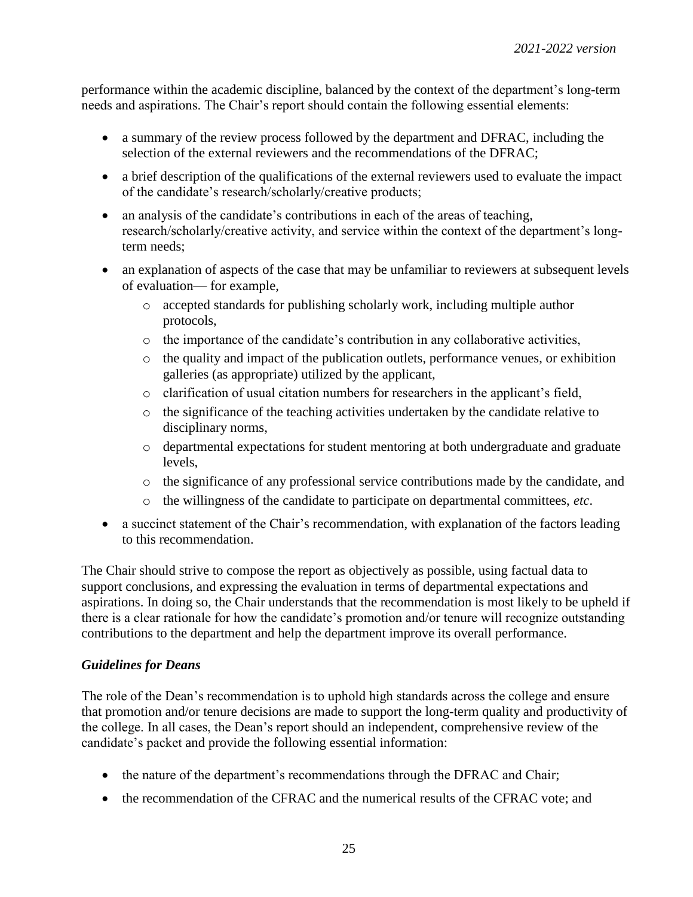performance within the academic discipline, balanced by the context of the department's long-term needs and aspirations. The Chair's report should contain the following essential elements:

- a summary of the review process followed by the department and DFRAC, including the selection of the external reviewers and the recommendations of the DFRAC;
- a brief description of the qualifications of the external reviewers used to evaluate the impact of the candidate's research/scholarly/creative products;
- an analysis of the candidate's contributions in each of the areas of teaching, research/scholarly/creative activity, and service within the context of the department's longterm needs;
- an explanation of aspects of the case that may be unfamiliar to reviewers at subsequent levels of evaluation— for example,
	- o accepted standards for publishing scholarly work, including multiple author protocols,
	- o the importance of the candidate's contribution in any collaborative activities,
	- o the quality and impact of the publication outlets, performance venues, or exhibition galleries (as appropriate) utilized by the applicant,
	- o clarification of usual citation numbers for researchers in the applicant's field,
	- o the significance of the teaching activities undertaken by the candidate relative to disciplinary norms,
	- o departmental expectations for student mentoring at both undergraduate and graduate levels,
	- o the significance of any professional service contributions made by the candidate, and
	- o the willingness of the candidate to participate on departmental committees, *etc*.
- a succinct statement of the Chair's recommendation, with explanation of the factors leading to this recommendation.

The Chair should strive to compose the report as objectively as possible, using factual data to support conclusions, and expressing the evaluation in terms of departmental expectations and aspirations. In doing so, the Chair understands that the recommendation is most likely to be upheld if there is a clear rationale for how the candidate's promotion and/or tenure will recognize outstanding contributions to the department and help the department improve its overall performance.

## *Guidelines for Deans*

The role of the Dean's recommendation is to uphold high standards across the college and ensure that promotion and/or tenure decisions are made to support the long-term quality and productivity of the college. In all cases, the Dean's report should an independent, comprehensive review of the candidate's packet and provide the following essential information:

- the nature of the department's recommendations through the DFRAC and Chair;
- the recommendation of the CFRAC and the numerical results of the CFRAC vote; and